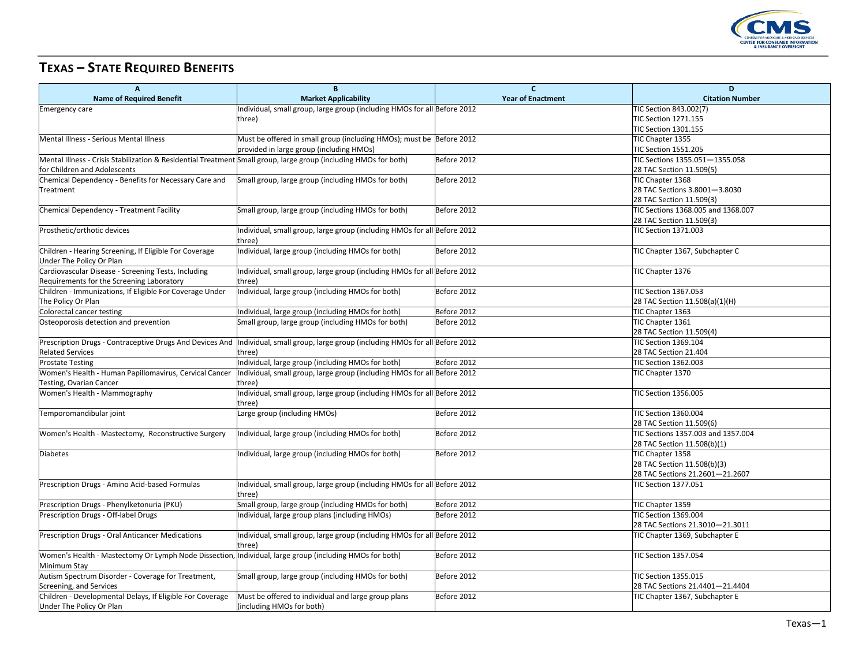

## **TEXAS – STATE REQUIRED BENEFITS**

| $\overline{A}$                                                                                                   | B                                                                                                                                  | $\mathsf{C}$<br><b>Year of Enactment</b> | D<br><b>Citation Number</b>                               |
|------------------------------------------------------------------------------------------------------------------|------------------------------------------------------------------------------------------------------------------------------------|------------------------------------------|-----------------------------------------------------------|
| <b>Name of Required Benefit</b>                                                                                  | <b>Market Applicability</b>                                                                                                        |                                          |                                                           |
| <b>Emergency care</b>                                                                                            | Individual, small group, large group (including HMOs for all Before 2012                                                           |                                          | TIC Section 843.002(7)                                    |
|                                                                                                                  | three)                                                                                                                             |                                          | <b>TIC Section 1271.155</b><br>TIC Section 1301.155       |
|                                                                                                                  |                                                                                                                                    |                                          |                                                           |
| Mental Illness - Serious Mental Illness                                                                          | Must be offered in small group (including HMOs); must be Before 2012                                                               |                                          | TIC Chapter 1355                                          |
|                                                                                                                  | provided in large group (including HMOs)                                                                                           |                                          | TIC Section 1551.205                                      |
| Mental Illness - Crisis Stabilization & Residential Treatment Small group, large group (including HMOs for both) |                                                                                                                                    | Before 2012                              | TIC Sections 1355.051-1355.058                            |
| for Children and Adolescents                                                                                     |                                                                                                                                    |                                          | 28 TAC Section 11.509(5)                                  |
| Chemical Dependency - Benefits for Necessary Care and                                                            | Small group, large group (including HMOs for both)                                                                                 | Before 2012                              | TIC Chapter 1368                                          |
| Treatment                                                                                                        |                                                                                                                                    |                                          | 28 TAC Sections 3.8001-3.8030<br>28 TAC Section 11.509(3) |
|                                                                                                                  |                                                                                                                                    | Before 2012                              | TIC Sections 1368.005 and 1368.007                        |
| Chemical Dependency - Treatment Facility                                                                         | Small group, large group (including HMOs for both)                                                                                 |                                          |                                                           |
|                                                                                                                  |                                                                                                                                    |                                          | 28 TAC Section 11.509(3)                                  |
| Prosthetic/orthotic devices                                                                                      | Individual, small group, large group (including HMOs for all Before 2012                                                           |                                          | <b>TIC Section 1371.003</b>                               |
|                                                                                                                  | three)                                                                                                                             |                                          |                                                           |
| Children - Hearing Screening, If Eligible For Coverage<br>Under The Policy Or Plan                               | Individual, large group (including HMOs for both)                                                                                  | Before 2012                              | TIC Chapter 1367, Subchapter C                            |
| Cardiovascular Disease - Screening Tests, Including                                                              |                                                                                                                                    |                                          | TIC Chapter 1376                                          |
|                                                                                                                  | Individual, small group, large group (including HMOs for all Before 2012                                                           |                                          |                                                           |
| Requirements for the Screening Laboratory                                                                        | three)                                                                                                                             |                                          | TIC Section 1367.053                                      |
| Children - Immunizations, If Eligible For Coverage Under<br>The Policy Or Plan                                   | Individual, large group (including HMOs for both)                                                                                  | Before 2012                              | 28 TAC Section 11.508(a)(1)(H)                            |
|                                                                                                                  |                                                                                                                                    |                                          |                                                           |
| Colorectal cancer testing                                                                                        | Individual, large group (including HMOs for both)                                                                                  | Before 2012                              | TIC Chapter 1363                                          |
| Osteoporosis detection and prevention                                                                            | Small group, large group (including HMOs for both)                                                                                 | Before 2012                              | TIC Chapter 1361<br>28 TAC Section 11.509(4)              |
|                                                                                                                  | Prescription Drugs - Contraceptive Drugs And Devices And  Individual, small group, large group (including HMOs for all Before 2012 |                                          |                                                           |
| <b>Related Services</b>                                                                                          | three)                                                                                                                             |                                          | TIC Section 1369.104<br>28 TAC Section 21.404             |
| <b>Prostate Testing</b>                                                                                          | Individual, large group (including HMOs for both)                                                                                  | Before 2012                              | TIC Section 1362.003                                      |
| Women's Health - Human Papillomavirus, Cervical Cancer                                                           | Individual, small group, large group (including HMOs for all Before 2012                                                           |                                          | TIC Chapter 1370                                          |
| Testing, Ovarian Cancer                                                                                          | three)                                                                                                                             |                                          |                                                           |
| Women's Health - Mammography                                                                                     | Individual, small group, large group (including HMOs for all Before 2012                                                           |                                          | TIC Section 1356.005                                      |
|                                                                                                                  | three)                                                                                                                             |                                          |                                                           |
| Temporomandibular joint                                                                                          | Large group (including HMOs)                                                                                                       | Before 2012                              | TIC Section 1360.004                                      |
|                                                                                                                  |                                                                                                                                    |                                          | 28 TAC Section 11.509(6)                                  |
| Women's Health - Mastectomy, Reconstructive Surgery                                                              | Individual, large group (including HMOs for both)                                                                                  | Before 2012                              | TIC Sections 1357.003 and 1357.004                        |
|                                                                                                                  |                                                                                                                                    |                                          | 28 TAC Section 11.508(b)(1)                               |
| <b>Diabetes</b>                                                                                                  | Individual, large group (including HMOs for both)                                                                                  | Before 2012                              | TIC Chapter 1358                                          |
|                                                                                                                  |                                                                                                                                    |                                          | 28 TAC Section 11.508(b)(3)                               |
|                                                                                                                  |                                                                                                                                    |                                          | 28 TAC Sections 21.2601-21.2607                           |
| Prescription Drugs - Amino Acid-based Formulas                                                                   | Individual, small group, large group (including HMOs for all Before 2012                                                           |                                          | TIC Section 1377.051                                      |
|                                                                                                                  | three)                                                                                                                             |                                          |                                                           |
| Prescription Drugs - Phenylketonuria (PKU)                                                                       | Small group, large group (including HMOs for both)                                                                                 | Before 2012                              | TIC Chapter 1359                                          |
| Prescription Drugs - Off-label Drugs                                                                             | Individual, large group plans (including HMOs)                                                                                     | Before 2012                              | TIC Section 1369.004                                      |
|                                                                                                                  |                                                                                                                                    |                                          | 28 TAC Sections 21.3010-21.3011                           |
| Prescription Drugs - Oral Anticancer Medications                                                                 | Individual, small group, large group (including HMOs for all Before 2012                                                           |                                          | TIC Chapter 1369, Subchapter E                            |
|                                                                                                                  | three)                                                                                                                             |                                          |                                                           |
| Women's Health - Mastectomy Or Lymph Node Dissection, Individual, large group (including HMOs for both)          |                                                                                                                                    | Before 2012                              | TIC Section 1357.054                                      |
| Minimum Stay                                                                                                     |                                                                                                                                    |                                          |                                                           |
| Autism Spectrum Disorder - Coverage for Treatment,                                                               | Small group, large group (including HMOs for both)                                                                                 | Before 2012                              | TIC Section 1355.015                                      |
| Screening, and Services                                                                                          |                                                                                                                                    |                                          | 28 TAC Sections 21.4401-21.4404                           |
| Children - Developmental Delays, If Eligible For Coverage                                                        | Must be offered to individual and large group plans                                                                                | Before 2012                              | TIC Chapter 1367, Subchapter E                            |
| Under The Policy Or Plan                                                                                         | (including HMOs for both)                                                                                                          |                                          |                                                           |